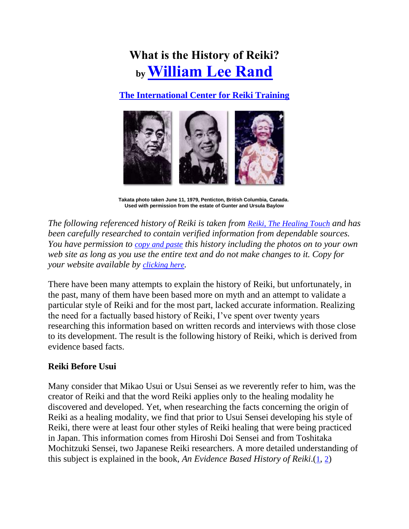# **What is the History of Reiki? by[William Lee Rand](https://www.reiki.org/ReikiClasses/teachers/rand.html)**

# **[The International Center for Reiki Training](http://www.reiki.org/)**



**Takata photo taken June 11, 1979, Penticton, British Columbia, Canada. Used with permission from the estate of Gunter and Ursula Baylow**

*The following referenced history of Reiki is taken from [Reiki, The Healing Touch](https://www.reikiwebstore.com/ProductPage.cfm?ProductID=52&CategoryID=2) and has been carefully researched to contain verified information from dependable sources. You have permission to [copy and paste](https://www.reiki.org/faq/HistoryOfReikiToCopy.html) this history including the photos on to your own web site as long as you use the entire text and do not make changes to it. Copy for your website available by [clicking here](https://www.reiki.org/faq/HistoryOfReikiToCopy.html).*

There have been many attempts to explain the history of Reiki, but unfortunately, in the past, many of them have been based more on myth and an attempt to validate a particular style of Reiki and for the most part, lacked accurate information. Realizing the need for a factually based history of Reiki, I've spent over twenty years researching this information based on written records and interviews with those close to its development. The result is the following history of Reiki, which is derived from evidence based facts.

# **Reiki Before Usui**

Many consider that Mikao Usui or Usui Sensei as we reverently refer to him, was the creator of Reiki and that the word Reiki applies only to the healing modality he discovered and developed. Yet, when researching the facts concerning the origin of Reiki as a healing modality, we find that prior to Usui Sensei developing his style of Reiki, there were at least four other styles of Reiki healing that were being practiced in Japan. This information comes from Hiroshi Doi Sensei and from Toshitaka Mochitzuki Sensei, two Japanese Reiki researchers. A more detailed understanding of this subject is explained in the book, *An Evidence Based History of Reiki*.([1](https://www.reiki.org/faq/HistoryOfReikiToCopy.html#1), [2](https://www.reiki.org/faq/HistoryOfReikiToCopy.html#2))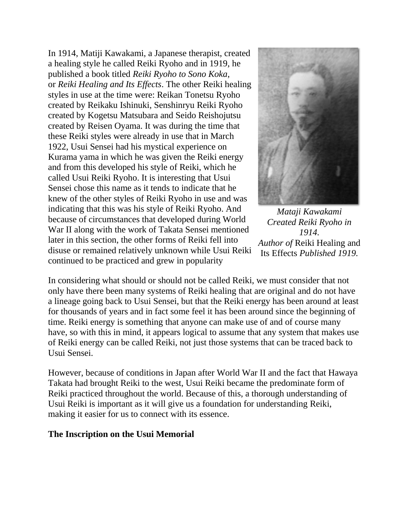In 1914, Matiji Kawakami, a Japanese therapist, created a healing style he called Reiki Ryoho and in 1919, he published a book titled *Reiki Ryoho to Sono Koka*, or *Reiki Healing and Its Effects*. The other Reiki healing styles in use at the time were: Reikan Tonetsu Ryoho created by Reikaku Ishinuki, Senshinryu Reiki Ryoho created by Kogetsu Matsubara and Seido Reishojutsu created by Reisen Oyama. It was during the time that these Reiki styles were already in use that in March 1922, Usui Sensei had his mystical experience on Kurama yama in which he was given the Reiki energy and from this developed his style of Reiki, which he called Usui Reiki Ryoho. It is interesting that Usui Sensei chose this name as it tends to indicate that he knew of the other styles of Reiki Ryoho in use and was indicating that this was his style of Reiki Ryoho. And because of circumstances that developed during World War II along with the work of Takata Sensei mentioned later in this section, the other forms of Reiki fell into disuse or remained relatively unknown while Usui Reiki continued to be practiced and grew in popularity



*Mataji Kawakami Created Reiki Ryoho in 1914. Author of* Reiki Healing and Its Effects *Published 1919.*

In considering what should or should not be called Reiki, we must consider that not only have there been many systems of Reiki healing that are original and do not have a lineage going back to Usui Sensei, but that the Reiki energy has been around at least for thousands of years and in fact some feel it has been around since the beginning of time. Reiki energy is something that anyone can make use of and of course many have, so with this in mind, it appears logical to assume that any system that makes use of Reiki energy can be called Reiki, not just those systems that can be traced back to Usui Sensei.

However, because of conditions in Japan after World War II and the fact that Hawaya Takata had brought Reiki to the west, Usui Reiki became the predominate form of Reiki practiced throughout the world. Because of this, a thorough understanding of Usui Reiki is important as it will give us a foundation for understanding Reiki, making it easier for us to connect with its essence.

#### **The Inscription on the Usui Memorial**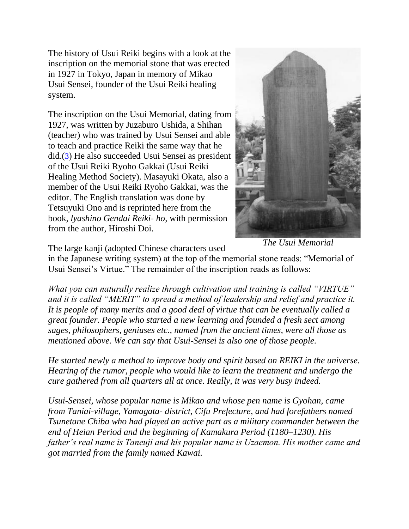The history of Usui Reiki begins with a look at the inscription on the memorial stone that was erected in 1927 in Tokyo, Japan in memory of Mikao Usui Sensei, founder of the Usui Reiki healing system.

The inscription on the Usui Memorial, dating from 1927, was written by Juzaburo Ushida, a Shihan (teacher) who was trained by Usui Sensei and able to teach and practice Reiki the same way that he did.([3](https://www.reiki.org/faq/HistoryOfReikiToCopy.html#3)) He also succeeded Usui Sensei as president of the Usui Reiki Ryoho Gakkai (Usui Reiki Healing Method Society). Masayuki Okata, also a member of the Usui Reiki Ryoho Gakkai, was the editor. The English translation was done by Tetsuyuki Ono and is reprinted here from the book, *lyashino Gendai Reiki- ho*, with permission from the author, Hiroshi Doi.



*The Usui Memorial*

The large kanji (adopted Chinese characters used

in the Japanese writing system) at the top of the memorial stone reads: "Memorial of Usui Sensei's Virtue." The remainder of the inscription reads as follows:

*What you can naturally realize through cultivation and training is called "VIRTUE" and it is called "MERIT" to spread a method of leadership and relief and practice it. It is people of many merits and a good deal of virtue that can be eventually called a great founder. People who started a new learning and founded a fresh sect among sages, philosophers, geniuses etc., named from the ancient times, were all those as mentioned above. We can say that Usui-Sensei is also one of those people.*

*He started newly a method to improve body and spirit based on REIKI in the universe. Hearing of the rumor, people who would like to learn the treatment and undergo the cure gathered from all quarters all at once. Really, it was very busy indeed.*

*Usui-Sensei, whose popular name is Mikao and whose pen name is Gyohan, came from Taniai-village, Yamagata- district, Cifu Prefecture, and had forefathers named Tsunetane Chiba who had played an active part as a military commander between the end of Heian Period and the beginning of Kamakura Period (1180–1230). His father's real name is Taneuji and his popular name is Uzaemon. His mother came and got married from the family named Kawai.*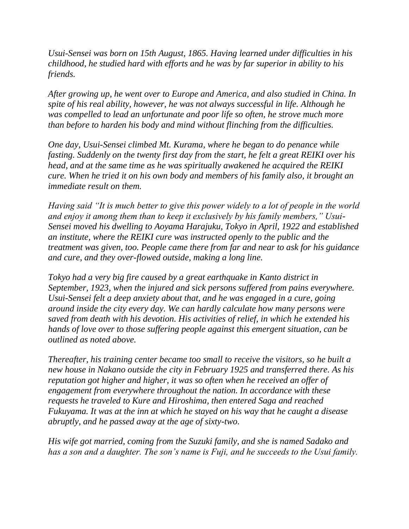*Usui-Sensei was born on 15th August, 1865. Having learned under difficulties in his childhood, he studied hard with efforts and he was by far superior in ability to his friends.*

*After growing up, he went over to Europe and America, and also studied in China. In spite of his real ability, however, he was not always successful in life. Although he was compelled to lead an unfortunate and poor life so often, he strove much more than before to harden his body and mind without flinching from the difficulties.*

*One day, Usui-Sensei climbed Mt. Kurama, where he began to do penance while fasting. Suddenly on the twenty first day from the start, he felt a great REIKI over his head, and at the same time as he was spiritually awakened he acquired the REIKI cure. When he tried it on his own body and members of his family also, it brought an immediate result on them.*

*Having said "It is much better to give this power widely to a lot of people in the world and enjoy it among them than to keep it exclusively by his family members,*" Usui-*Sensei moved his dwelling to Aoyama Harajuku, Tokyo in April, 1922 and established an institute, where the REIKI cure was instructed openly to the public and the treatment was given, too. People came there from far and near to ask for his guidance and cure, and they over-flowed outside, making a long line.*

*Tokyo had a very big fire caused by a great earthquake in Kanto district in September, 1923, when the injured and sick persons suffered from pains everywhere. Usui-Sensei felt a deep anxiety about that, and he was engaged in a cure, going around inside the city every day. We can hardly calculate how many persons were saved from death with his devotion. His activities of relief, in which he extended his hands of love over to those suffering people against this emergent situation, can be outlined as noted above.*

*Thereafter, his training center became too small to receive the visitors, so he built a new house in Nakano outside the city in February 1925 and transferred there. As his reputation got higher and higher, it was so often when he received an offer of engagement from everywhere throughout the nation. In accordance with these requests he traveled to Kure and Hiroshima, then entered Saga and reached Fukuyama. It was at the inn at which he stayed on his way that he caught a disease abruptly, and he passed away at the age of sixty-two.*

*His wife got married, coming from the Suzuki family, and she is named Sadako and has a son and a daughter. The son's name is Fuji, and he succeeds to the Usui family.*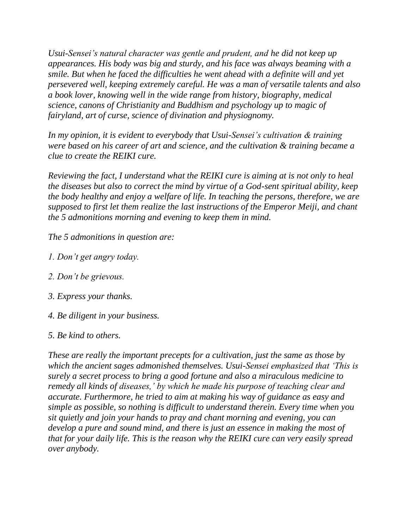*Usui-Sensei's natural character was gentle and prudent, and he did not keep up appearances. His body was big and sturdy, and his face was always beaming with a smile. But when he faced the difficulties he went ahead with a definite will and yet persevered well, keeping extremely careful. He was a man of versatile talents and also a book lover, knowing well in the wide range from history, biography, medical science, canons of Christianity and Buddhism and psychology up to magic of fairyland, art of curse, science of divination and physiognomy.*

*In my opinion, it is evident to everybody that Usui-Sensei's cultivation & training were based on his career of art and science, and the cultivation & training became a clue to create the REIKI cure.*

*Reviewing the fact, I understand what the REIKI cure is aiming at is not only to heal the diseases but also to correct the mind by virtue of a God-sent spiritual ability, keep the body healthy and enjoy a welfare of life. In teaching the persons, therefore, we are supposed to first let them realize the last instructions of the Emperor Meiji, and chant the 5 admonitions morning and evening to keep them in mind.*

*The 5 admonitions in question are:*

- *1. Don't get angry today.*
- *2. Don't be grievous.*
- *3. Express your thanks.*
- *4. Be diligent in your business.*

#### *5. Be kind to others.*

*These are really the important precepts for a cultivation, just the same as those by*  which the ancient sages admonished themselves. Usui-Sensei emphasized that 'This is *surely a secret process to bring a good fortune and also a miraculous medicine to remedy all kinds of diseases,' by which he made his purpose of teaching clear and accurate. Furthermore, he tried to aim at making his way of guidance as easy and simple as possible, so nothing is difficult to understand therein. Every time when you sit quietly and join your hands to pray and chant morning and evening, you can develop a pure and sound mind, and there is just an essence in making the most of that for your daily life. This is the reason why the REIKI cure can very easily spread over anybody.*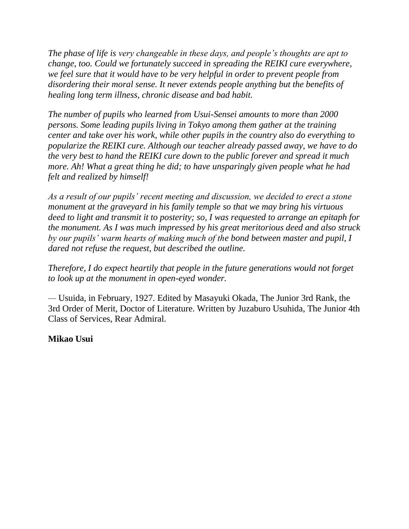*The phase of life is very changeable in these days, and people's thoughts are apt to change, too. Could we fortunately succeed in spreading the REIKI cure everywhere, we feel sure that it would have to be very helpful in order to prevent people from disordering their moral sense. It never extends people anything but the benefits of healing long term illness, chronic disease and bad habit.*

*The number of pupils who learned from Usui-Sensei amounts to more than 2000 persons. Some leading pupils living in Tokyo among them gather at the training center and take over his work, while other pupils in the country also do everything to popularize the REIKI cure. Although our teacher already passed away, we have to do the very best to hand the REIKI cure down to the public forever and spread it much more. Ah! What a great thing he did; to have unsparingly given people what he had felt and realized by himself!*

*As a result of our pupils' recent meeting and discussion, we decided to erect a stone monument at the graveyard in his family temple so that we may bring his virtuous deed to light and transmit it to posterity; so, I was requested to arrange an epitaph for the monument. As I was much impressed by his great meritorious deed and also struck by our pupils' warm hearts of making much of the bond between master and pupil, I dared not refuse the request, but described the outline.*

*Therefore, I do expect heartily that people in the future generations would not forget to look up at the monument in open-eyed wonder.*

*—* Usuida, in February, 1927. Edited by Masayuki Okada, The Junior 3rd Rank, the 3rd Order of Merit, Doctor of Literature. Written by Juzaburo Usuhida, The Junior 4th Class of Services, Rear Admiral.

#### **Mikao Usui**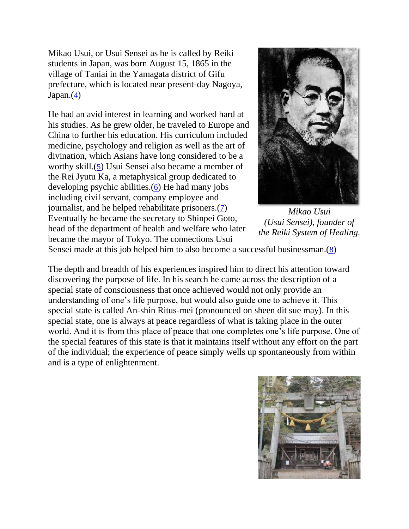Mikao Usui, or Usui Sensei as he is called by Reiki students in Japan, was born August 15, 1865 in the village of Taniai in the Yamagata district of Gifu prefecture, which is located near present-day Nagoya, Japan. $(4)$  $(4)$  $(4)$ 

He had an avid interest in learning and worked hard at his studies. As he grew older, he traveled to Europe and China to further his education. His curriculum included medicine, psychology and religion as well as the art of divination, which Asians have long considered to be a worthy skill.([5](https://www.reiki.org/faq/HistoryOfReikiToCopy.html#5)) Usui Sensei also became a member of the Rei Jyutu Ka, a metaphysical group dedicated to developing psychic abilities.([6](https://www.reiki.org/faq/HistoryOfReikiToCopy.html#6)) He had many jobs including civil servant, company employee and journalist, and he helped rehabilitate prisoners.([7](https://www.reiki.org/faq/HistoryOfReikiToCopy.html#7)) Eventually he became the secretary to Shinpei Goto, head of the department of health and welfare who later became the mayor of Tokyo. The connections Usui



*Mikao Usui (Usui Sensei), founder of the Reiki System of Healing.*

Sensei made at this job helped him to also become a successful businessman.([8](https://www.reiki.org/faq/HistoryOfReikiToCopy.html#8))

The depth and breadth of his experiences inspired him to direct his attention toward discovering the purpose of life. In his search he came across the description of a special state of consciousness that once achieved would not only provide an understanding of one's life purpose, but would also guide one to achieve it. This special state is called An-shin Ritus-mei (pronounced on sheen dit sue may). In this special state, one is always at peace regardless of what is taking place in the outer world. And it is from this place of peace that one completes one's life purpose. One of the special features of this state is that it maintains itself without any effort on the part of the individual; the experience of peace simply wells up spontaneously from within and is a type of enlightenment.

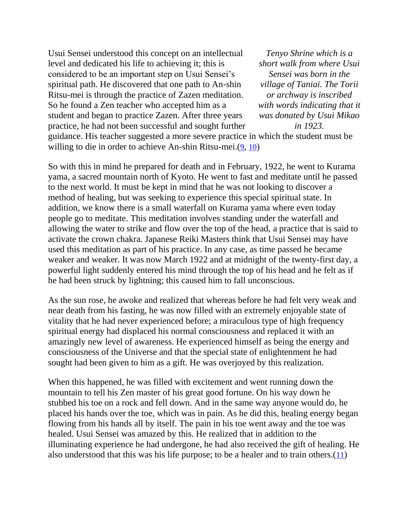Usui Sensei understood this concept on an intellectual level and dedicated his life to achieving it; this is considered to be an important step on Usui Sensei's spiritual path. He discovered that one path to An-shin Ritsu-mei is through the practice of Zazen meditation. So he found a Zen teacher who accepted him as a student and began to practice Zazen. After three years practice, he had not been successful and sought further guidance. His teacher suggested a more severe practice in which the student must be willing to die in order to achieve An-shin Ritsu-mei.([9](https://www.reiki.org/faq/HistoryOfReikiToCopy.html#9), [10](https://www.reiki.org/faq/HistoryOfReikiToCopy.html#10)) *Tenyo Shrine which is a short walk from where Usui Sensei was born in the village of Taniai. The Torii or archway is inscribed with words indicating that it was donated by Usui Mikao in 1923.*

So with this in mind he prepared for death and in February, 1922, he went to Kurama yama, a sacred mountain north of Kyoto. He went to fast and meditate until he passed to the next world. It must be kept in mind that he was not looking to discover a method of healing, but was seeking to experience this special spiritual state. In addition, we know there is a small waterfall on Kurama yama where even today people go to meditate. This meditation involves standing under the waterfall and allowing the water to strike and flow over the top of the head, a practice that is said to activate the crown chakra. Japanese Reiki Masters think that Usui Sensei may have used this meditation as part of his practice. In any case, as time passed he became weaker and weaker. It was now March 1922 and at midnight of the twenty-first day, a powerful light suddenly entered his mind through the top of his head and he felt as if he had been struck by lightning; this caused him to fall unconscious.

As the sun rose, he awoke and realized that whereas before he had felt very weak and near death from his fasting, he was now filled with an extremely enjoyable state of vitality that he had never experienced before; a miraculous type of high frequency spiritual energy had displaced his normal consciousness and replaced it with an amazingly new level of awareness. He experienced himself as being the energy and consciousness of the Universe and that the special state of enlightenment he had sought had been given to him as a gift. He was overjoyed by this realization.

When this happened, he was filled with excitement and went running down the mountain to tell his Zen master of his great good fortune. On his way down he stubbed his toe on a rock and fell down. And in the same way anyone would do, he placed his hands over the toe, which was in pain. As he did this, healing energy began flowing from his hands all by itself. The pain in his toe went away and the toe was healed. Usui Sensei was amazed by this. He realized that in addition to the illuminating experience he had undergone, he had also received the gift of healing. He also understood that this was his life purpose; to be a healer and to train others. $(11)$  $(11)$  $(11)$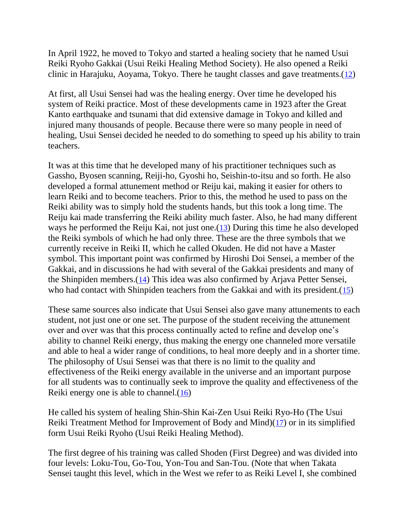In April 1922, he moved to Tokyo and started a healing society that he named Usui Reiki Ryoho Gakkai (Usui Reiki Healing Method Society). He also opened a Reiki clinic in Harajuku, Aoyama, Tokyo. There he taught classes and gave treatments.([12](https://www.reiki.org/faq/HistoryOfReikiToCopy.html#12))

At first, all Usui Sensei had was the healing energy. Over time he developed his system of Reiki practice. Most of these developments came in 1923 after the Great Kanto earthquake and tsunami that did extensive damage in Tokyo and killed and injured many thousands of people. Because there were so many people in need of healing, Usui Sensei decided he needed to do something to speed up his ability to train teachers.

It was at this time that he developed many of his practitioner techniques such as Gassho, Byosen scanning, Reiji-ho, Gyoshi ho, Seishin-to-itsu and so forth. He also developed a formal attunement method or Reiju kai, making it easier for others to learn Reiki and to become teachers. Prior to this, the method he used to pass on the Reiki ability was to simply hold the students hands, but this took a long time. The Reiju kai made transferring the Reiki ability much faster. Also, he had many different ways he performed the Reiju Kai, not just one.([13](https://www.reiki.org/faq/HistoryOfReikiToCopy.html#13)) During this time he also developed the Reiki symbols of which he had only three. These are the three symbols that we currently receive in Reiki II, which he called Okuden. He did not have a Master symbol. This important point was confirmed by Hiroshi Doi Sensei, a member of the Gakkai, and in discussions he had with several of the Gakkai presidents and many of the Shinpiden members.([14](https://www.reiki.org/faq/HistoryOfReikiToCopy.html#14)) This idea was also confirmed by Arjava Petter Sensei, who had contact with Shinpiden teachers from the Gakkai and with its president.([15](https://www.reiki.org/faq/HistoryOfReikiToCopy.html#15))

These same sources also indicate that Usui Sensei also gave many attunements to each student, not just one or one set. The purpose of the student receiving the attunement over and over was that this process continually acted to refine and develop one's ability to channel Reiki energy, thus making the energy one channeled more versatile and able to heal a wider range of conditions, to heal more deeply and in a shorter time. The philosophy of Usui Sensei was that there is no limit to the quality and effectiveness of the Reiki energy available in the universe and an important purpose for all students was to continually seek to improve the quality and effectiveness of the Reiki energy one is able to channel. $(16)$  $(16)$  $(16)$ 

He called his system of healing Shin-Shin Kai-Zen Usui Reiki Ryo-Ho (The Usui Reiki Treatment Method for Improvement of Body and Mind)([17](https://www.reiki.org/faq/HistoryOfReikiToCopy.html#17)) or in its simplified form Usui Reiki Ryoho (Usui Reiki Healing Method).

The first degree of his training was called Shoden (First Degree) and was divided into four levels: Loku-Tou, Go-Tou, Yon-Tou and San-Tou. (Note that when Takata Sensei taught this level, which in the West we refer to as Reiki Level I, she combined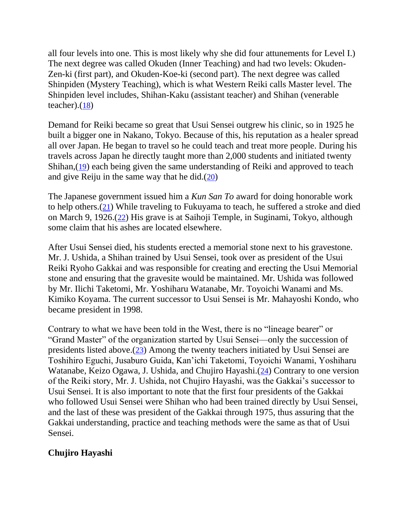all four levels into one. This is most likely why she did four attunements for Level I.) The next degree was called Okuden (Inner Teaching) and had two levels: Okuden-Zen-ki (first part), and Okuden-Koe-ki (second part). The next degree was called Shinpiden (Mystery Teaching), which is what Western Reiki calls Master level. The Shinpiden level includes, Shihan-Kaku (assistant teacher) and Shihan (venerable teacher).([18](https://www.reiki.org/faq/HistoryOfReikiToCopy.html#18))

Demand for Reiki became so great that Usui Sensei outgrew his clinic, so in 1925 he built a bigger one in Nakano, Tokyo. Because of this, his reputation as a healer spread all over Japan. He began to travel so he could teach and treat more people. During his travels across Japan he directly taught more than 2,000 students and initiated twenty Shihan,([19](https://www.reiki.org/faq/HistoryOfReikiToCopy.html#19)) each being given the same understanding of Reiki and approved to teach and give Reiju in the same way that he did.([20](https://www.reiki.org/faq/HistoryOfReikiToCopy.html#20))

The Japanese government issued him a *Kun San To* award for doing honorable work to help others.([21](https://www.reiki.org/faq/HistoryOfReikiToCopy.html#21)) While traveling to Fukuyama to teach, he suffered a stroke and died on March 9, 1926.([22](https://www.reiki.org/faq/HistoryOfReikiToCopy.html#22)) His grave is at Saihoji Temple, in Suginami, Tokyo, although some claim that his ashes are located elsewhere.

After Usui Sensei died, his students erected a memorial stone next to his gravestone. Mr. J. Ushida, a Shihan trained by Usui Sensei, took over as president of the Usui Reiki Ryoho Gakkai and was responsible for creating and erecting the Usui Memorial stone and ensuring that the gravesite would be maintained. Mr. Ushida was followed by Mr. Ilichi Taketomi, Mr. Yoshiharu Watanabe, Mr. Toyoichi Wanami and Ms. Kimiko Koyama. The current successor to Usui Sensei is Mr. Mahayoshi Kondo, who became president in 1998.

Contrary to what we have been told in the West, there is no "lineage bearer" or "Grand Master" of the organization started by Usui Sensei—only the succession of presidents listed above.([23](https://www.reiki.org/faq/HistoryOfReikiToCopy.html#23)) Among the twenty teachers initiated by Usui Sensei are Toshihiro Eguchi, Jusaburo Guida, Kan'ichi Taketomi, Toyoichi Wanami, Yoshiharu Watanabe, Keizo Ogawa, J. Ushida, and Chujiro Hayashi.([24](https://www.reiki.org/faq/HistoryOfReikiToCopy.html#24)) Contrary to one version of the Reiki story, Mr. J. Ushida, not Chujiro Hayashi, was the Gakkai's successor to Usui Sensei. It is also important to note that the first four presidents of the Gakkai who followed Usui Sensei were Shihan who had been trained directly by Usui Sensei, and the last of these was president of the Gakkai through 1975, thus assuring that the Gakkai understanding, practice and teaching methods were the same as that of Usui Sensei.

## **Chujiro Hayashi**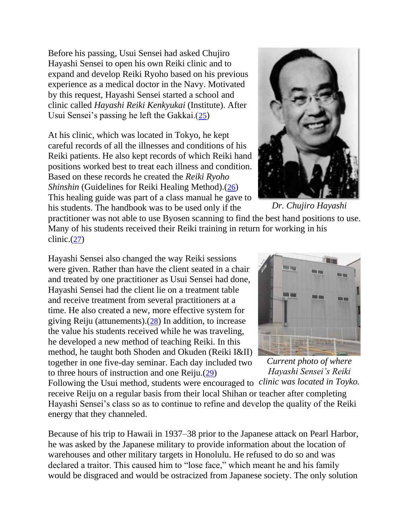Before his passing, Usui Sensei had asked Chujiro Hayashi Sensei to open his own Reiki clinic and to expand and develop Reiki Ryoho based on his previous experience as a medical doctor in the Navy. Motivated by this request, Hayashi Sensei started a school and clinic called *Hayashi Reiki Kenkyukai* (Institute). After Usui Sensei's passing he left the Gakkai.([25](https://www.reiki.org/faq/HistoryOfReikiToCopy.html#25))

At his clinic, which was located in Tokyo, he kept careful records of all the illnesses and conditions of his Reiki patients. He also kept records of which Reiki hand positions worked best to treat each illness and condition. Based on these records he created the *Reiki Ryoho Shinshin* (Guidelines for Reiki Healing Method).([26](https://www.reiki.org/faq/HistoryOfReikiToCopy.html#26)) This healing guide was part of a class manual he gave to his students. The handbook was to be used only if the



*Dr. Chujiro Hayashi*

practitioner was not able to use Byosen scanning to find the best hand positions to use. Many of his students received their Reiki training in return for working in his clinic. $(27)$  $(27)$  $(27)$ 

Hayashi Sensei also changed the way Reiki sessions were given. Rather than have the client seated in a chair and treated by one practitioner as Usui Sensei had done, Hayashi Sensei had the client lie on a treatment table and receive treatment from several practitioners at a time. He also created a new, more effective system for giving Reiju (attunements).([28](https://www.reiki.org/faq/HistoryOfReikiToCopy.html#28)) In addition, to increase the value his students received while he was traveling, he developed a new method of teaching Reiki. In this method, he taught both Shoden and Okuden (Reiki I&II) together in one five-day seminar. Each day included two to three hours of instruction and one Reiju.([29](https://www.reiki.org/faq/HistoryOfReikiToCopy.html#29))



*Current photo of where Hayashi Sensei's Reiki* 

Following the Usui method, students were encouraged to *clinic was located in Toyko.*receive Reiju on a regular basis from their local Shihan or teacher after completing Hayashi Sensei's class so as to continue to refine and develop the quality of the Reiki energy that they channeled.

Because of his trip to Hawaii in 1937–38 prior to the Japanese attack on Pearl Harbor, he was asked by the Japanese military to provide information about the location of warehouses and other military targets in Honolulu. He refused to do so and was declared a traitor. This caused him to "lose face," which meant he and his family would be disgraced and would be ostracized from Japanese society. The only solution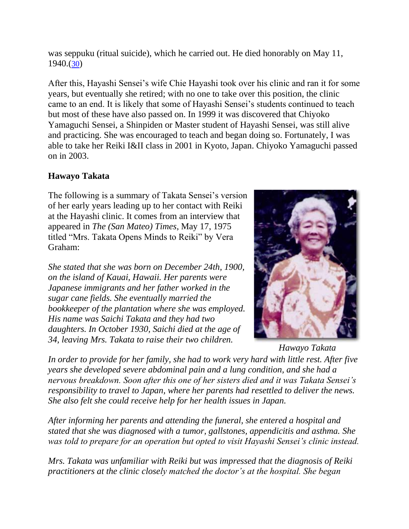was seppuku (ritual suicide), which he carried out. He died honorably on May 11, 1940.([30](https://www.reiki.org/faq/HistoryOfReikiToCopy.html#30))

After this, Hayashi Sensei's wife Chie Hayashi took over his clinic and ran it for some years, but eventually she retired; with no one to take over this position, the clinic came to an end. It is likely that some of Hayashi Sensei's students continued to teach but most of these have also passed on. In 1999 it was discovered that Chiyoko Yamaguchi Sensei, a Shinpiden or Master student of Hayashi Sensei, was still alive and practicing. She was encouraged to teach and began doing so. Fortunately, I was able to take her Reiki I&II class in 2001 in Kyoto, Japan. Chiyoko Yamaguchi passed on in 2003.

# **Hawayo Takata**

The following is a summary of Takata Sensei's version of her early years leading up to her contact with Reiki at the Hayashi clinic. It comes from an interview that appeared in *The (San Mateo) Times*, May 17, 1975 titled "Mrs. Takata Opens Minds to Reiki" by Vera Graham:

*She stated that she was born on December 24th, 1900, on the island of Kauai, Hawaii. Her parents were Japanese immigrants and her father worked in the sugar cane fields. She eventually married the bookkeeper of the plantation where she was employed. His name was Saichi Takata and they had two daughters. In October 1930, Saichi died at the age of 34, leaving Mrs. Takata to raise their two children.*



*Hawayo Takata*

*In order to provide for her family, she had to work very hard with little rest. After five years she developed severe abdominal pain and a lung condition, and she had a nervous breakdown. Soon after this one of her sisters died and it was Takata Sensei's responsibility to travel to Japan, where her parents had resettled to deliver the news. She also felt she could receive help for her health issues in Japan.*

*After informing her parents and attending the funeral, she entered a hospital and stated that she was diagnosed with a tumor, gallstones, appendicitis and asthma. She was told to prepare for an operation but opted to visit Hayashi Sensei's clinic instead.*

*Mrs. Takata was unfamiliar with Reiki but was impressed that the diagnosis of Reiki practitioners at the clinic closely matched the doctor's at the hospital. She began*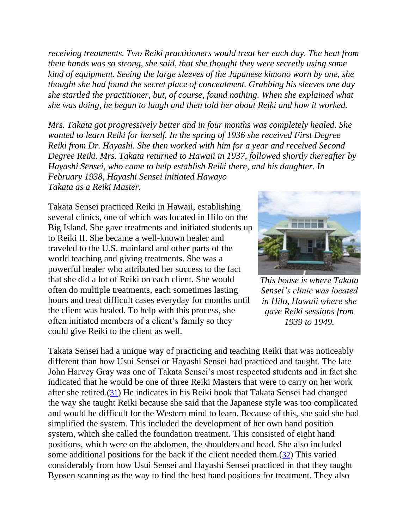*receiving treatments. Two Reiki practitioners would treat her each day. The heat from their hands was so strong, she said, that she thought they were secretly using some kind of equipment. Seeing the large sleeves of the Japanese kimono worn by one, she thought she had found the secret place of concealment. Grabbing his sleeves one day she startled the practitioner, but, of course, found nothing. When she explained what she was doing, he began to laugh and then told her about Reiki and how it worked.*

*Mrs. Takata got progressively better and in four months was completely healed. She wanted to learn Reiki for herself. In the spring of 1936 she received First Degree Reiki from Dr. Hayashi. She then worked with him for a year and received Second Degree Reiki. Mrs. Takata returned to Hawaii in 1937, followed shortly thereafter by Hayashi Sensei, who came to help establish Reiki there, and his daughter. In February 1938, Hayashi Sensei initiated Hawayo Takata as a Reiki Master.*

Takata Sensei practiced Reiki in Hawaii, establishing several clinics, one of which was located in Hilo on the Big Island. She gave treatments and initiated students up to Reiki II. She became a well-known healer and traveled to the U.S. mainland and other parts of the world teaching and giving treatments. She was a powerful healer who attributed her success to the fact that she did a lot of Reiki on each client. She would often do multiple treatments, each sometimes lasting hours and treat difficult cases everyday for months until the client was healed. To help with this process, she often initiated members of a client's family so they could give Reiki to the client as well.



*This house is where Takata Sensei's clinic was located in Hilo, Hawaii where she gave Reiki sessions from 1939 to 1949.*

Takata Sensei had a unique way of practicing and teaching Reiki that was noticeably different than how Usui Sensei or Hayashi Sensei had practiced and taught. The late John Harvey Gray was one of Takata Sensei's most respected students and in fact she indicated that he would be one of three Reiki Masters that were to carry on her work after she retired.([31](https://www.reiki.org/faq/HistoryOfReikiToCopy.html#31)) He indicates in his Reiki book that Takata Sensei had changed the way she taught Reiki because she said that the Japanese style was too complicated and would be difficult for the Western mind to learn. Because of this, she said she had simplified the system. This included the development of her own hand position system, which she called the foundation treatment. This consisted of eight hand positions, which were on the abdomen, the shoulders and head. She also included some additional positions for the back if the client needed them.([32](https://www.reiki.org/faq/HistoryOfReikiToCopy.html#32)) This varied considerably from how Usui Sensei and Hayashi Sensei practiced in that they taught Byosen scanning as the way to find the best hand positions for treatment. They also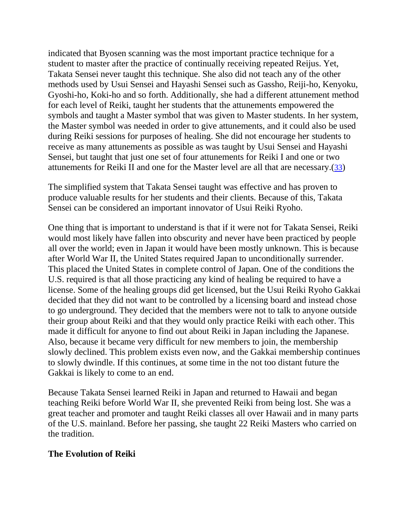indicated that Byosen scanning was the most important practice technique for a student to master after the practice of continually receiving repeated Reijus. Yet, Takata Sensei never taught this technique. She also did not teach any of the other methods used by Usui Sensei and Hayashi Sensei such as Gassho, Reiji-ho, Kenyoku, Gyoshi-ho, Koki-ho and so forth. Additionally, she had a different attunement method for each level of Reiki, taught her students that the attunements empowered the symbols and taught a Master symbol that was given to Master students. In her system, the Master symbol was needed in order to give attunements, and it could also be used during Reiki sessions for purposes of healing. She did not encourage her students to receive as many attunements as possible as was taught by Usui Sensei and Hayashi Sensei, but taught that just one set of four attunements for Reiki I and one or two attunements for Reiki II and one for the Master level are all that are necessary.([33](https://www.reiki.org/faq/HistoryOfReikiToCopy.html#33))

The simplified system that Takata Sensei taught was effective and has proven to produce valuable results for her students and their clients. Because of this, Takata Sensei can be considered an important innovator of Usui Reiki Ryoho.

One thing that is important to understand is that if it were not for Takata Sensei, Reiki would most likely have fallen into obscurity and never have been practiced by people all over the world; even in Japan it would have been mostly unknown. This is because after World War II, the United States required Japan to unconditionally surrender. This placed the United States in complete control of Japan. One of the conditions the U.S. required is that all those practicing any kind of healing be required to have a license. Some of the healing groups did get licensed, but the Usui Reiki Ryoho Gakkai decided that they did not want to be controlled by a licensing board and instead chose to go underground. They decided that the members were not to talk to anyone outside their group about Reiki and that they would only practice Reiki with each other. This made it difficult for anyone to find out about Reiki in Japan including the Japanese. Also, because it became very difficult for new members to join, the membership slowly declined. This problem exists even now, and the Gakkai membership continues to slowly dwindle. If this continues, at some time in the not too distant future the Gakkai is likely to come to an end.

Because Takata Sensei learned Reiki in Japan and returned to Hawaii and began teaching Reiki before World War II, she prevented Reiki from being lost. She was a great teacher and promoter and taught Reiki classes all over Hawaii and in many parts of the U.S. mainland. Before her passing, she taught 22 Reiki Masters who carried on the tradition.

#### **The Evolution of Reiki**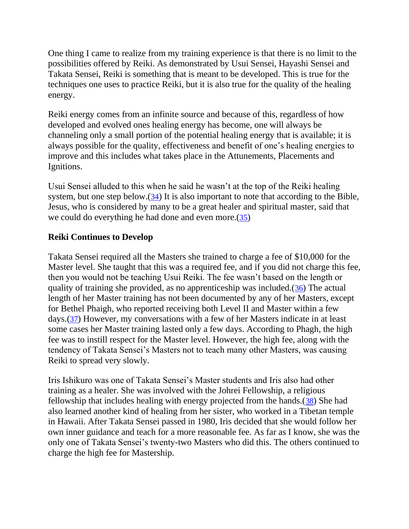One thing I came to realize from my training experience is that there is no limit to the possibilities offered by Reiki. As demonstrated by Usui Sensei, Hayashi Sensei and Takata Sensei, Reiki is something that is meant to be developed. This is true for the techniques one uses to practice Reiki, but it is also true for the quality of the healing energy.

Reiki energy comes from an infinite source and because of this, regardless of how developed and evolved ones healing energy has become, one will always be channeling only a small portion of the potential healing energy that is available; it is always possible for the quality, effectiveness and benefit of one's healing energies to improve and this includes what takes place in the Attunements, Placements and Ignitions.

Usui Sensei alluded to this when he said he wasn't at the top of the Reiki healing system, but one step below.([34](https://www.reiki.org/faq/HistoryOfReikiToCopy.html#34)) It is also important to note that according to the Bible, Jesus, who is considered by many to be a great healer and spiritual master, said that we could do everything he had done and even more.([35](https://www.reiki.org/faq/HistoryOfReikiToCopy.html#35))

## **Reiki Continues to Develop**

Takata Sensei required all the Masters she trained to charge a fee of \$10,000 for the Master level. She taught that this was a required fee, and if you did not charge this fee, then you would not be teaching Usui Reiki. The fee wasn't based on the length or quality of training she provided, as no apprenticeship was included.([36](https://www.reiki.org/faq/HistoryOfReikiToCopy.html#36)) The actual length of her Master training has not been documented by any of her Masters, except for Bethel Phaigh, who reported receiving both Level II and Master within a few days.([37](https://www.reiki.org/faq/HistoryOfReikiToCopy.html#37)) However, my conversations with a few of her Masters indicate in at least some cases her Master training lasted only a few days. According to Phagh, the high fee was to instill respect for the Master level. However, the high fee, along with the tendency of Takata Sensei's Masters not to teach many other Masters, was causing Reiki to spread very slowly.

Iris Ishikuro was one of Takata Sensei's Master students and Iris also had other training as a healer. She was involved with the Johrei Fellowship, a religious fellowship that includes healing with energy projected from the hands.([38](https://www.reiki.org/faq/HistoryOfReikiToCopy.html#38)) She had also learned another kind of healing from her sister, who worked in a Tibetan temple in Hawaii. After Takata Sensei passed in 1980, Iris decided that she would follow her own inner guidance and teach for a more reasonable fee. As far as I know, she was the only one of Takata Sensei's twenty-two Masters who did this. The others continued to charge the high fee for Mastership.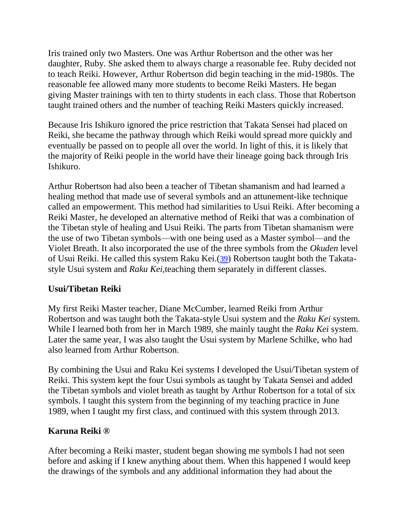Iris trained only two Masters. One was Arthur Robertson and the other was her daughter, Ruby. She asked them to always charge a reasonable fee. Ruby decided not to teach Reiki. However, Arthur Robertson did begin teaching in the mid-1980s. The reasonable fee allowed many more students to become Reiki Masters. He began giving Master trainings with ten to thirty students in each class. Those that Robertson taught trained others and the number of teaching Reiki Masters quickly increased.

Because Iris Ishikuro ignored the price restriction that Takata Sensei had placed on Reiki, she became the pathway through which Reiki would spread more quickly and eventually be passed on to people all over the world. In light of this, it is likely that the majority of Reiki people in the world have their lineage going back through Iris Ishikuro.

Arthur Robertson had also been a teacher of Tibetan shamanism and had learned a healing method that made use of several symbols and an attunement-like technique called an empowerment. This method had similarities to Usui Reiki. After becoming a Reiki Master, he developed an alternative method of Reiki that was a combination of the Tibetan style of healing and Usui Reiki. The parts from Tibetan shamanism were the use of two Tibetan symbols—with one being used as a Master symbol—and the Violet Breath. It also incorporated the use of the three symbols from the *Okuden* level of Usui Reiki. He called this system Raku Kei.([39](https://www.reiki.org/faq/HistoryOfReikiToCopy.html#39)) Robertson taught both the Takatastyle Usui system and *Raku Kei,*teaching them separately in different classes.

## **Usui/Tibetan Reiki**

My first Reiki Master teacher, Diane McCumber, learned Reiki from Arthur Robertson and was taught both the Takata-style Usui system and the *Raku Kei* system. While I learned both from her in March 1989, she mainly taught the *Raku Kei* system. Later the same year, I was also taught the Usui system by Marlene Schilke, who had also learned from Arthur Robertson.

By combining the Usui and Raku Kei systems I developed the Usui/Tibetan system of Reiki. This system kept the four Usui symbols as taught by Takata Sensei and added the Tibetan symbols and violet breath as taught by Arthur Robertson for a total of six symbols. I taught this system from the beginning of my teaching practice in June 1989, when I taught my first class, and continued with this system through 2013.

# **Karuna Reiki ®**

After becoming a Reiki master, student began showing me symbols I had not seen before and asking if I knew anything about them. When this happened I would keep the drawings of the symbols and any additional information they had about the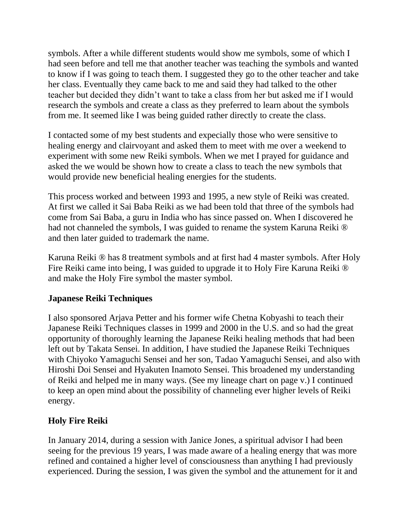symbols. After a while different students would show me symbols, some of which I had seen before and tell me that another teacher was teaching the symbols and wanted to know if I was going to teach them. I suggested they go to the other teacher and take her class. Eventually they came back to me and said they had talked to the other teacher but decided they didn't want to take a class from her but asked me if I would research the symbols and create a class as they preferred to learn about the symbols from me. It seemed like I was being guided rather directly to create the class.

I contacted some of my best students and expecially those who were sensitive to healing energy and clairvoyant and asked them to meet with me over a weekend to experiment with some new Reiki symbols. When we met I prayed for guidance and asked the we would be shown how to create a class to teach the new symbols that would provide new beneficial healing energies for the students.

This process worked and between 1993 and 1995, a new style of Reiki was created. At first we called it Sai Baba Reiki as we had been told that three of the symbols had come from Sai Baba, a guru in India who has since passed on. When I discovered he had not channeled the symbols, I was guided to rename the system Karuna Reiki  $\circledR$ and then later guided to trademark the name.

Karuna Reiki ® has 8 treatment symbols and at first had 4 master symbols. After Holy Fire Reiki came into being, I was guided to upgrade it to Holy Fire Karuna Reiki ® and make the Holy Fire symbol the master symbol.

## **Japanese Reiki Techniques**

I also sponsored Arjava Petter and his former wife Chetna Kobyashi to teach their Japanese Reiki Techniques classes in 1999 and 2000 in the U.S. and so had the great opportunity of thoroughly learning the Japanese Reiki healing methods that had been left out by Takata Sensei. In addition, I have studied the Japanese Reiki Techniques with Chiyoko Yamaguchi Sensei and her son, Tadao Yamaguchi Sensei, and also with Hiroshi Doi Sensei and Hyakuten Inamoto Sensei. This broadened my understanding of Reiki and helped me in many ways. (See my lineage chart on page v.) I continued to keep an open mind about the possibility of channeling ever higher levels of Reiki energy.

# **Holy Fire Reiki**

In January 2014, during a session with Janice Jones, a spiritual advisor I had been seeing for the previous 19 years, I was made aware of a healing energy that was more refined and contained a higher level of consciousness than anything I had previously experienced. During the session, I was given the symbol and the attunement for it and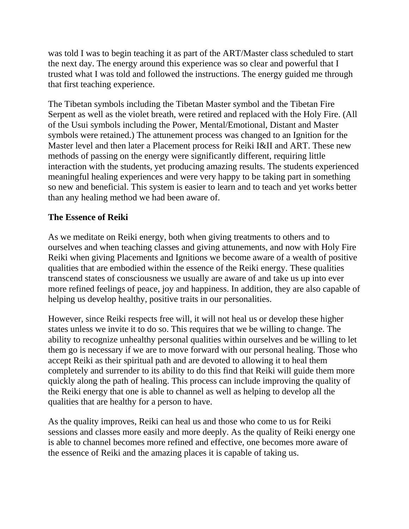was told I was to begin teaching it as part of the ART/Master class scheduled to start the next day. The energy around this experience was so clear and powerful that I trusted what I was told and followed the instructions. The energy guided me through that first teaching experience.

The Tibetan symbols including the Tibetan Master symbol and the Tibetan Fire Serpent as well as the violet breath, were retired and replaced with the Holy Fire. (All of the Usui symbols including the Power, Mental/Emotional, Distant and Master symbols were retained.) The attunement process was changed to an Ignition for the Master level and then later a Placement process for Reiki I&II and ART. These new methods of passing on the energy were significantly different, requiring little interaction with the students, yet producing amazing results. The students experienced meaningful healing experiences and were very happy to be taking part in something so new and beneficial. This system is easier to learn and to teach and yet works better than any healing method we had been aware of.

## **The Essence of Reiki**

As we meditate on Reiki energy, both when giving treatments to others and to ourselves and when teaching classes and giving attunements, and now with Holy Fire Reiki when giving Placements and Ignitions we become aware of a wealth of positive qualities that are embodied within the essence of the Reiki energy. These qualities transcend states of consciousness we usually are aware of and take us up into ever more refined feelings of peace, joy and happiness. In addition, they are also capable of helping us develop healthy, positive traits in our personalities.

However, since Reiki respects free will, it will not heal us or develop these higher states unless we invite it to do so. This requires that we be willing to change. The ability to recognize unhealthy personal qualities within ourselves and be willing to let them go is necessary if we are to move forward with our personal healing. Those who accept Reiki as their spiritual path and are devoted to allowing it to heal them completely and surrender to its ability to do this find that Reiki will guide them more quickly along the path of healing. This process can include improving the quality of the Reiki energy that one is able to channel as well as helping to develop all the qualities that are healthy for a person to have.

As the quality improves, Reiki can heal us and those who come to us for Reiki sessions and classes more easily and more deeply. As the quality of Reiki energy one is able to channel becomes more refined and effective, one becomes more aware of the essence of Reiki and the amazing places it is capable of taking us.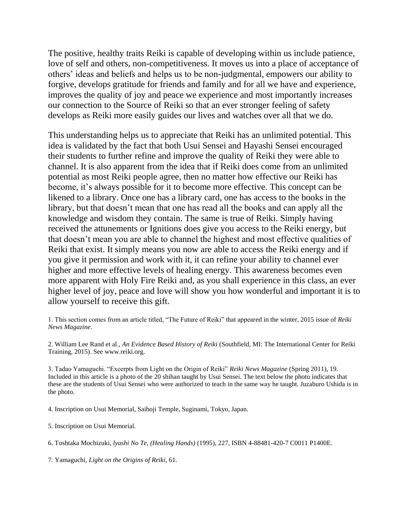The positive, healthy traits Reiki is capable of developing within us include patience, love of self and others, non-competitiveness. It moves us into a place of acceptance of others' ideas and beliefs and helps us to be non-judgmental, empowers our ability to forgive, develops gratitude for friends and family and for all we have and experience, improves the quality of joy and peace we experience and most importantly increases our connection to the Source of Reiki so that an ever stronger feeling of safety develops as Reiki more easily guides our lives and watches over all that we do.

This understanding helps us to appreciate that Reiki has an unlimited potential. This idea is validated by the fact that both Usui Sensei and Hayashi Sensei encouraged their students to further refine and improve the quality of Reiki they were able to channel. It is also apparent from the idea that if Reiki does come from an unlimited potential as most Reiki people agree, then no matter how effective our Reiki has become, it's always possible for it to become more effective. This concept can be likened to a library. Once one has a library card, one has access to the books in the library, but that doesn't mean that one has read all the books and can apply all the knowledge and wisdom they contain. The same is true of Reiki. Simply having received the attunements or Ignitions does give you access to the Reiki energy, but that doesn't mean you are able to channel the highest and most effective qualities of Reiki that exist. It simply means you now are able to access the Reiki energy and if you give it permission and work with it, it can refine your ability to channel ever higher and more effective levels of healing energy. This awareness becomes even more apparent with Holy Fire Reiki and, as you shall experience in this class, an ever higher level of joy, peace and love will show you how wonderful and important it is to allow yourself to receive this gift.

1. This section comes from an article titled, "The Future of Reiki" that appeared in the winter, 2015 issue of *Reiki News Magazine*.

2. William Lee Rand et al., *An Evidence Based History of Reiki* (Southfield, MI: The International Center for Reiki Training, 2015). See www.reiki.org.

3. Tadao Yamaguchi. ―Excerpts from Light on the Origin of Reiki‖ *Reiki News Magazine* (Spring 2011), 19. Included in this article is a photo of the 20 shihan taught by Usui Sensei. The text below the photo indicates that these are the students of Usui Sensei who were authorized to teach in the same way he taught. Juzaburo Ushida is in the photo.

4. Inscription on Usui Memorial, Saihoji Temple, Suginami, Tokyo, Japan.

5. Inscription on Usui Memorial.

6. Toshtaka Mochizuki, *lyashi No Te, (Healing Hands)* (1995), 227, ISBN 4-88481-420-7 C0011 P1400E.

7. Yamaguchi, *Light on the Origins of Reiki*, 61.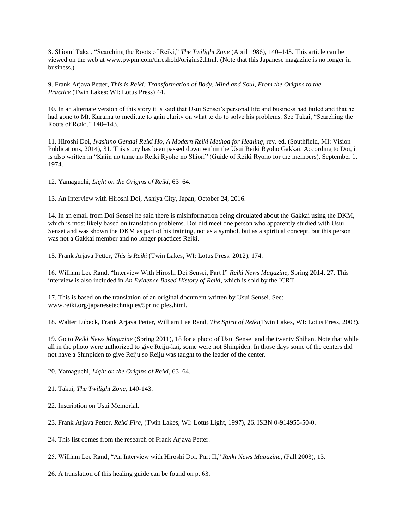8. Shiomi Takai, "Searching the Roots of Reiki," *The Twilight Zone* (April 1986), 140–143. This article can be viewed on the web at www.pwpm.com/threshold/origins2.html. (Note that this Japanese magazine is no longer in business.)

9. Frank Arjava Petter, *This is Reiki: Transformation of Body, Mind and Soul, From the Origins to the Practice* (Twin Lakes: WI: Lotus Press) 44.

10. In an alternate version of this story it is said that Usui Sensei's personal life and business had failed and that he had gone to Mt. Kurama to meditate to gain clarity on what to do to solve his problems. See Takai, "Searching the Roots of Reiki," 140-143.

11. Hiroshi Doi, *Iyashino Gendai Reiki Ho, A Modern Reiki Method for Healing*, rev. ed. (Southfield, MI: Vision Publications, 2014), 31. This story has been passed down within the Usui Reiki Ryoho Gakkai. According to Doi, it is also written in "Kaiin no tame no Reiki Ryoho no Shiori" (Guide of Reiki Ryoho for the members), September 1, 1974.

12. Yamaguchi, *Light on the Origins of Reiki*, 63–64.

13. An Interview with Hiroshi Doi, Ashiya City, Japan, October 24, 2016.

14. In an email from Doi Sensei he said there is misinformation being circulated about the Gakkai using the DKM, which is most likely based on translation problems. Doi did meet one person who apparently studied with Usui Sensei and was shown the DKM as part of his training, not as a symbol, but as a spiritual concept, but this person was not a Gakkai member and no longer practices Reiki.

15. Frank Arjava Petter, *This is Reiki* (Twin Lakes, WI: Lotus Press, 2012), 174.

16. William Lee Rand, "Interview With Hiroshi Doi Sensei, Part I" *Reiki News Magazine*, Spring 2014, 27. This interview is also included in *An Evidence Based History of Reiki*, which is sold by the ICRT.

17. This is based on the translation of an original document written by Usui Sensei. See: www.reiki.org/japanesetechniques/5principles.html.

18. Walter Lubeck, Frank Arjava Petter, William Lee Rand, *The Spirit of Reiki*(Twin Lakes, WI: Lotus Press, 2003).

19. Go to *Reiki News Magazine* (Spring 2011), 18 for a photo of Usui Sensei and the twenty Shihan. Note that while all in the photo were authorized to give Reiju-kai, some were not Shinpiden. In those days some of the centers did not have a Shinpiden to give Reiju so Reiju was taught to the leader of the center.

20. Yamaguchi, *Light on the Origins of Reiki*, 63–64.

21. Takai, *The Twilight Zone*, 140-143.

22. Inscription on Usui Memorial.

23. Frank Arjava Petter, *Reiki Fire*, (Twin Lakes, WI: Lotus Light, 1997), 26. ISBN 0-914955-50-0.

24. This list comes from the research of Frank Arjava Petter.

25. William Lee Rand, "An Interview with Hiroshi Doi, Part II," *Reiki News Magazine*, (Fall 2003), 13.

26. A translation of this healing guide can be found on p. 63.